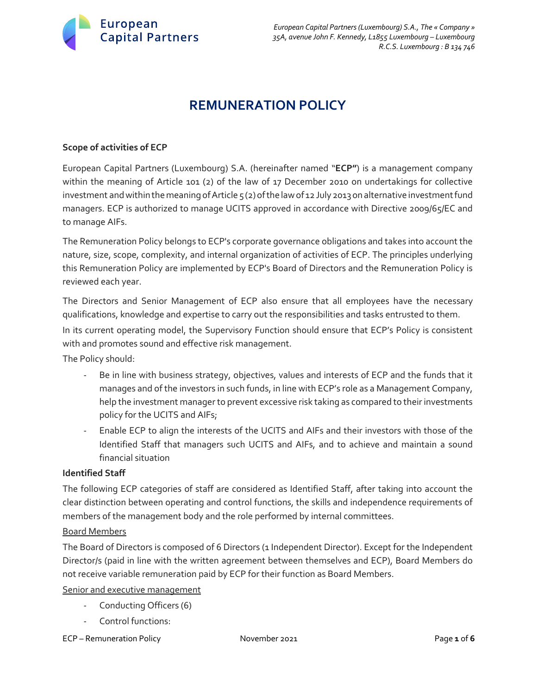

# **REMUNERATION POLICY**

### **Scope of activities of ECP**

European Capital Partners (Luxembourg) S.A. (hereinafter named "**ECP"**) is a management company within the meaning of Article 101 (2) of the law of 17 December 2010 on undertakings for collective investment and within the meaning of Article  $5$  (2) of the law of 12 July 2013 on alternative investment fund managers. ECP is authorized to manage UCITS approved in accordance with Directive 2009/65/EC and to manage AIFs.

The Remuneration Policy belongs to ECP's corporate governance obligations and takes into account the nature, size, scope, complexity, and internal organization of activities of ECP. The principles underlying this Remuneration Policy are implemented by ECP's Board of Directors and the Remuneration Policy is reviewed each year.

The Directors and Senior Management of ECP also ensure that all employees have the necessary qualifications, knowledge and expertise to carry out the responsibilities and tasks entrusted to them.

In its current operating model, the Supervisory Function should ensure that ECP's Policy is consistent with and promotes sound and effective risk management.

The Policy should:

- Be in line with business strategy, objectives, values and interests of ECP and the funds that it manages and of the investors in such funds, in line with ECP's role as a Management Company, help the investment manager to prevent excessive risk taking as compared to their investments policy for the UCITS and AIFs;
- Enable ECP to align the interests of the UCITS and AIFs and their investors with those of the Identified Staff that managers such UCITS and AIFs, and to achieve and maintain a sound financial situation

#### **Identified Staff**

The following ECP categories of staff are considered as Identified Staff, after taking into account the clear distinction between operating and control functions, the skills and independence requirements of members of the management body and the role performed by internal committees.

#### Board Members

The Board of Directors is composed of 6 Directors (1 Independent Director). Except for the Independent Director/s (paid in line with the written agreement between themselves and ECP), Board Members do not receive variable remuneration paid by ECP for their function as Board Members.

Senior and executive management

- Conducting Officers (6)
- Control functions:
- ECP Remuneration Policy November 2021 Page **1** of **6**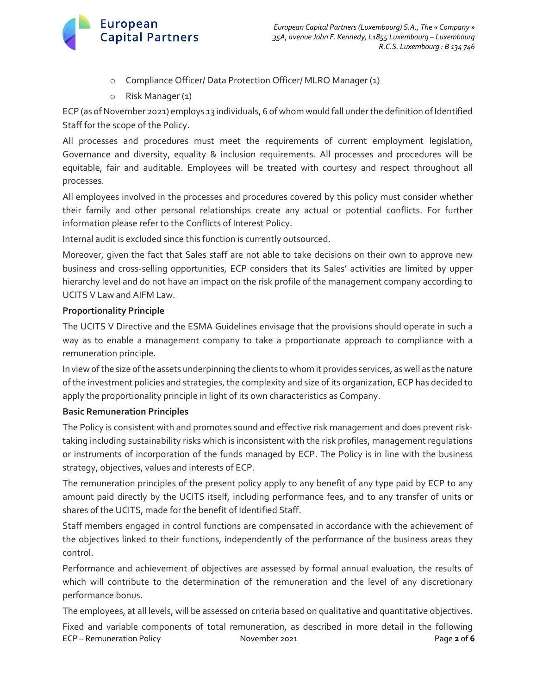

- o Compliance Officer/ Data Protection Officer/ MLRO Manager (1)
- o Risk Manager (1)

ECP (as of November 2021) employs 13 individuals, 6 of whom would fall under the definition of Identified Staff for the scope of the Policy.

All processes and procedures must meet the requirements of current employment legislation, Governance and diversity, equality & inclusion requirements. All processes and procedures will be equitable, fair and auditable. Employees will be treated with courtesy and respect throughout all processes.

All employees involved in the processes and procedures covered by this policy must consider whether their family and other personal relationships create any actual or potential conflicts. For further information please refer to the Conflicts of Interest Policy.

Internal audit is excluded since this function is currently outsourced.

Moreover, given the fact that Sales staff are not able to take decisions on their own to approve new business and cross-selling opportunities, ECP considers that its Sales' activities are limited by upper hierarchy level and do not have an impact on the risk profile of the management company according to UCITS V Law and AIFM Law.

# **Proportionality Principle**

The UCITS V Directive and the ESMA Guidelines envisage that the provisions should operate in such a way as to enable a management company to take a proportionate approach to compliance with a remuneration principle.

In view of the size of the assets underpinning the clients to whom it provides services, as well as the nature of the investment policies and strategies, the complexity and size of its organization, ECP has decided to apply the proportionality principle in light of its own characteristics as Company.

# **Basic Remuneration Principles**

The Policy is consistent with and promotes sound and effective risk management and does prevent risktaking including sustainability risks which is inconsistent with the risk profiles, management regulations or instruments of incorporation of the funds managed by ECP. The Policy is in line with the business strategy, objectives, values and interests of ECP.

The remuneration principles of the present policy apply to any benefit of any type paid by ECP to any amount paid directly by the UCITS itself, including performance fees, and to any transfer of units or shares of the UCITS, made for the benefit of Identified Staff.

Staff members engaged in control functions are compensated in accordance with the achievement of the objectives linked to their functions, independently of the performance of the business areas they control.

Performance and achievement of objectives are assessed by formal annual evaluation, the results of which will contribute to the determination of the remuneration and the level of any discretionary performance bonus.

The employees, at all levels, will be assessed on criteria based on qualitative and quantitative objectives.

ECP – Remuneration Policy November 2021 Page **2** of **6** Fixed and variable components of total remuneration, as described in more detail in the following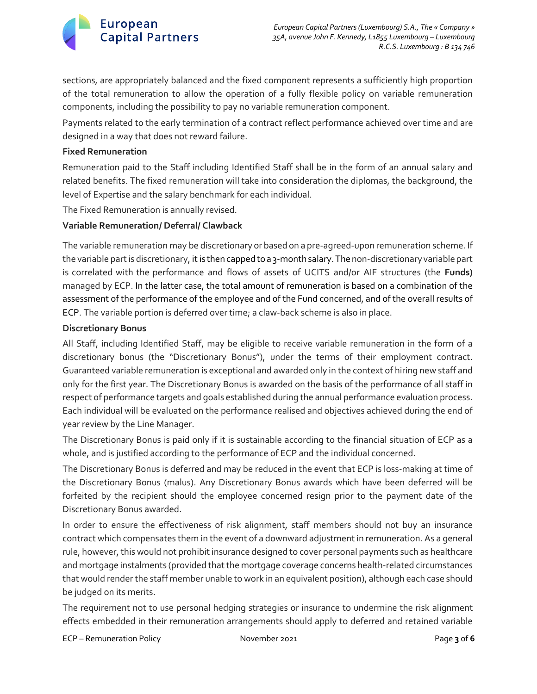

sections, are appropriately balanced and the fixed component represents a sufficiently high proportion of the total remuneration to allow the operation of a fully flexible policy on variable remuneration components, including the possibility to pay no variable remuneration component.

Payments related to the early termination of a contract reflect performance achieved over time and are designed in a way that does not reward failure.

#### **Fixed Remuneration**

Remuneration paid to the Staff including Identified Staff shall be in the form of an annual salary and related benefits. The fixed remuneration will take into consideration the diplomas, the background, the level of Expertise and the salary benchmark for each individual.

The Fixed Remuneration is annually revised.

# **Variable Remuneration/ Deferral/ Clawback**

The variable remuneration may be discretionary or based on a pre-agreed-upon remuneration scheme. If the variable part is discretionary, it is then capped to a 3-month salary. The non-discretionary variable part is correlated with the performance and flows of assets of UCITS and/or AIF structures (the **Funds)**  managed by ECP. In the latter case, the total amount of remuneration is based on a combination of the assessment of the performance of the employee and of the Fund concerned, and of the overall results of ECP. The variable portion is deferred over time; a claw-back scheme is also in place.

#### **Discretionary Bonus**

All Staff, including Identified Staff, may be eligible to receive variable remuneration in the form of a discretionary bonus (the "Discretionary Bonus"), under the terms of their employment contract. Guaranteed variable remuneration is exceptional and awarded only in the context of hiring new staff and only for the first year. The Discretionary Bonus is awarded on the basis of the performance of all staff in respect of performance targets and goals established during the annual performance evaluation process. Each individual will be evaluated on the performance realised and objectives achieved during the end of year review by the Line Manager.

The Discretionary Bonus is paid only if it is sustainable according to the financial situation of ECP as a whole, and is justified according to the performance of ECP and the individual concerned.

The Discretionary Bonus is deferred and may be reduced in the event that ECP is loss-making at time of the Discretionary Bonus (malus). Any Discretionary Bonus awards which have been deferred will be forfeited by the recipient should the employee concerned resign prior to the payment date of the Discretionary Bonus awarded.

In order to ensure the effectiveness of risk alignment, staff members should not buy an insurance contract which compensates them in the event of a downward adjustment in remuneration. As a general rule, however, this would not prohibit insurance designed to cover personal payments such as healthcare and mortgage instalments (provided that the mortgage coverage concerns health-related circumstances that would render the staff member unable to work in an equivalent position), although each case should be judged on its merits.

The requirement not to use personal hedging strategies or insurance to undermine the risk alignment effects embedded in their remuneration arrangements should apply to deferred and retained variable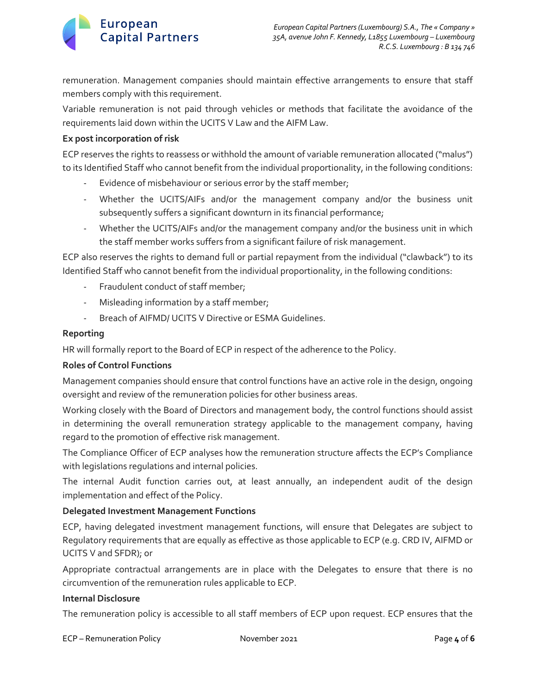

remuneration. Management companies should maintain effective arrangements to ensure that staff members comply with this requirement.

Variable remuneration is not paid through vehicles or methods that facilitate the avoidance of the requirements laid down within the UCITS V Law and the AIFM Law.

### **Ex post incorporation of risk**

ECP reserves the rights to reassess or withhold the amount of variable remuneration allocated ("malus") to its Identified Staff who cannot benefit from the individual proportionality, in the following conditions:

- Evidence of misbehaviour or serious error by the staff member;
- Whether the UCITS/AIFs and/or the management company and/or the business unit subsequently suffers a significant downturn in its financial performance;
- Whether the UCITS/AIFs and/or the management company and/or the business unit in which the staff member works suffers from a significant failure of risk management.

ECP also reserves the rights to demand full or partial repayment from the individual ("clawback") to its Identified Staff who cannot benefit from the individual proportionality, in the following conditions:

- Fraudulent conduct of staff member;
- Misleading information by a staff member;
- Breach of AIFMD/ UCITS V Directive or ESMA Guidelines.

#### **Reporting**

HR will formally report to the Board of ECP in respect of the adherence to the Policy.

# **Roles of Control Functions**

Management companies should ensure that control functions have an active role in the design, ongoing oversight and review of the remuneration policies for other business areas.

Working closely with the Board of Directors and management body, the control functions should assist in determining the overall remuneration strategy applicable to the management company, having regard to the promotion of effective risk management.

The Compliance Officer of ECP analyses how the remuneration structure affects the ECP's Compliance with legislations regulations and internal policies.

The internal Audit function carries out, at least annually, an independent audit of the design implementation and effect of the Policy.

# **Delegated Investment Management Functions**

ECP, having delegated investment management functions, will ensure that Delegates are subject to Regulatory requirements that are equally as effective as those applicable to ECP (e.g. CRD IV, AIFMD or UCITS V and SFDR); or

Appropriate contractual arrangements are in place with the Delegates to ensure that there is no circumvention of the remuneration rules applicable to ECP.

# **Internal Disclosure**

The remuneration policy is accessible to all staff members of ECP upon request. ECP ensures that the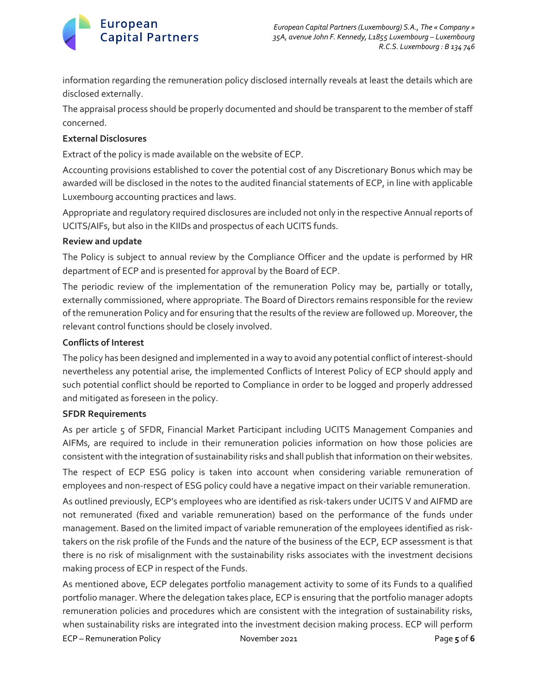# **European Capital Partners**

information regarding the remuneration policy disclosed internally reveals at least the details which are disclosed externally.

The appraisal process should be properly documented and should be transparent to the member of staff concerned.

# **External Disclosures**

Extract of the policy is made available on the website of ECP.

Accounting provisions established to cover the potential cost of any Discretionary Bonus which may be awarded will be disclosed in the notes to the audited financial statements of ECP, in line with applicable Luxembourg accounting practices and laws.

Appropriate and regulatory required disclosures are included not only in the respective Annual reports of UCITS/AIFs, but also in the KIIDs and prospectus of each UCITS funds.

# **Review and update**

The Policy is subject to annual review by the Compliance Officer and the update is performed by HR department of ECP and is presented for approval by the Board of ECP.

The periodic review of the implementation of the remuneration Policy may be, partially or totally, externally commissioned, where appropriate. The Board of Directors remains responsible for the review of the remuneration Policy and for ensuring that the results of the review are followed up. Moreover, the relevant control functions should be closely involved.

# **Conflicts of Interest**

The policy has been designed and implemented in a way to avoid any potential conflict of interest-should nevertheless any potential arise, the implemented Conflicts of Interest Policy of ECP should apply and such potential conflict should be reported to Compliance in order to be logged and properly addressed and mitigated as foreseen in the policy.

# **SFDR Requirements**

As per article 5 of SFDR, Financial Market Participant including UCITS Management Companies and AIFMs, are required to include in their remuneration policies information on how those policies are consistent with the integration of sustainability risks and shall publish that information on their websites. The respect of ECP ESG policy is taken into account when considering variable remuneration of employees and non-respect of ESG policy could have a negative impact on their variable remuneration.

As outlined previously, ECP's employees who are identified as risk-takers under UCITS V and AIFMD are not remunerated (fixed and variable remuneration) based on the performance of the funds under management. Based on the limited impact of variable remuneration of the employees identified as risktakers on the risk profile of the Funds and the nature of the business of the ECP, ECP assessment is that there is no risk of misalignment with the sustainability risks associates with the investment decisions making process of ECP in respect of the Funds.

ECP – Remuneration Policy November 2021 Page **5** of **6** As mentioned above, ECP delegates portfolio management activity to some of its Funds to a qualified portfolio manager. Where the delegation takes place, ECP is ensuring that the portfolio manager adopts remuneration policies and procedures which are consistent with the integration of sustainability risks, when sustainability risks are integrated into the investment decision making process. ECP will perform